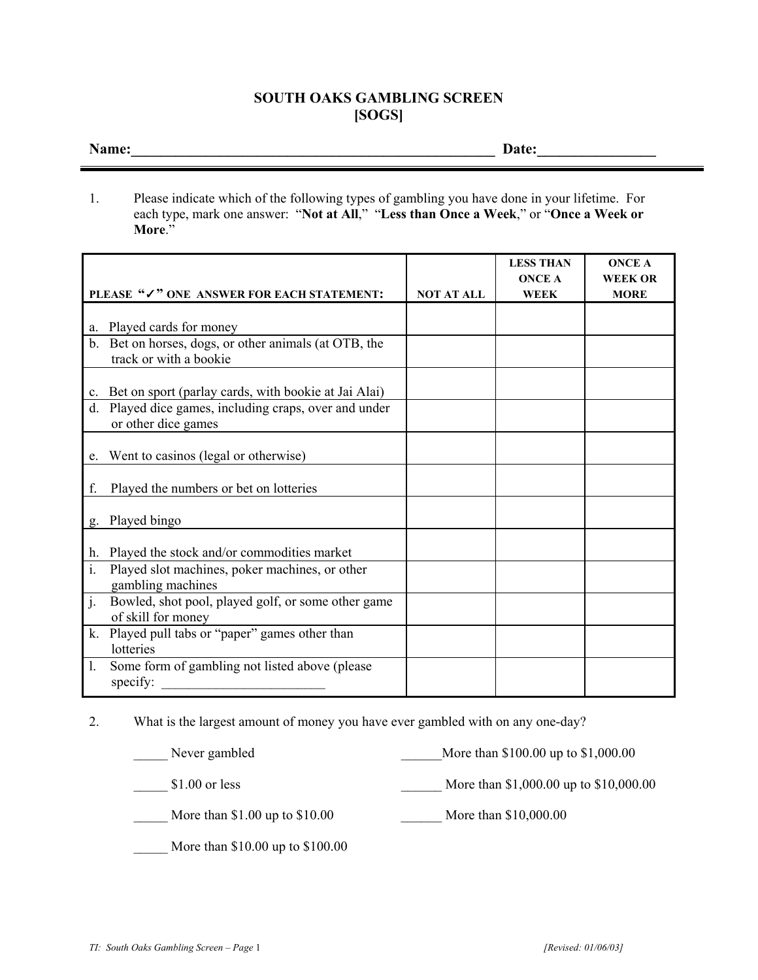## **SOUTH OAKS GAMBLING SCREEN [SOGS]**

**Name:\_\_\_\_\_\_\_\_\_\_\_\_\_\_\_\_\_\_\_\_\_\_\_\_\_\_\_\_\_\_\_\_\_\_\_\_\_\_\_\_\_\_\_\_\_\_\_\_\_ Date:\_\_\_\_\_\_\_\_\_\_\_\_\_\_\_\_** 

1. Please indicate which of the following types of gambling you have done in your lifetime. For each type, mark one answer: "**Not at All**," "**Less than Once a Week**," or "**Once a Week or More**."

|                                                                                                |                   | <b>LESS THAN</b><br><b>ONCE A</b> | <b>ONCE A</b><br><b>WEEK OR</b> |
|------------------------------------------------------------------------------------------------|-------------------|-----------------------------------|---------------------------------|
| PLEASE "/" ONE ANSWER FOR EACH STATEMENT:                                                      | <b>NOT AT ALL</b> | <b>WEEK</b>                       | <b>MORE</b>                     |
| Played cards for money<br>a.                                                                   |                   |                                   |                                 |
| Bet on horses, dogs, or other animals (at OTB, the<br>$\mathbf{b}$ .<br>track or with a bookie |                   |                                   |                                 |
| Bet on sport (parlay cards, with bookie at Jai Alai)<br>$c_{\cdot}$                            |                   |                                   |                                 |
| Played dice games, including craps, over and under<br>d.<br>or other dice games                |                   |                                   |                                 |
| Went to casinos (legal or otherwise)<br>e.                                                     |                   |                                   |                                 |
| Played the numbers or bet on lotteries<br>f.                                                   |                   |                                   |                                 |
| Played bingo<br>g.                                                                             |                   |                                   |                                 |
| Played the stock and/or commodities market<br>h.                                               |                   |                                   |                                 |
| $\mathbf{i}$ .<br>Played slot machines, poker machines, or other<br>gambling machines          |                   |                                   |                                 |
| j.<br>Bowled, shot pool, played golf, or some other game<br>of skill for money                 |                   |                                   |                                 |
| Played pull tabs or "paper" games other than<br>k.<br>lotteries                                |                   |                                   |                                 |
| Some form of gambling not listed above (please<br>1.<br>specify:                               |                   |                                   |                                 |

2. What is the largest amount of money you have ever gambled with on any one-day?

| Never gambled                      | More than \$100.00 up to \$1,000.00    |
|------------------------------------|----------------------------------------|
| $$1.00$ or less                    | More than \$1,000.00 up to \$10,000.00 |
| More than $$1.00$ up to $$10.00$   | More than \$10,000.00                  |
| More than $$10.00$ up to $$100.00$ |                                        |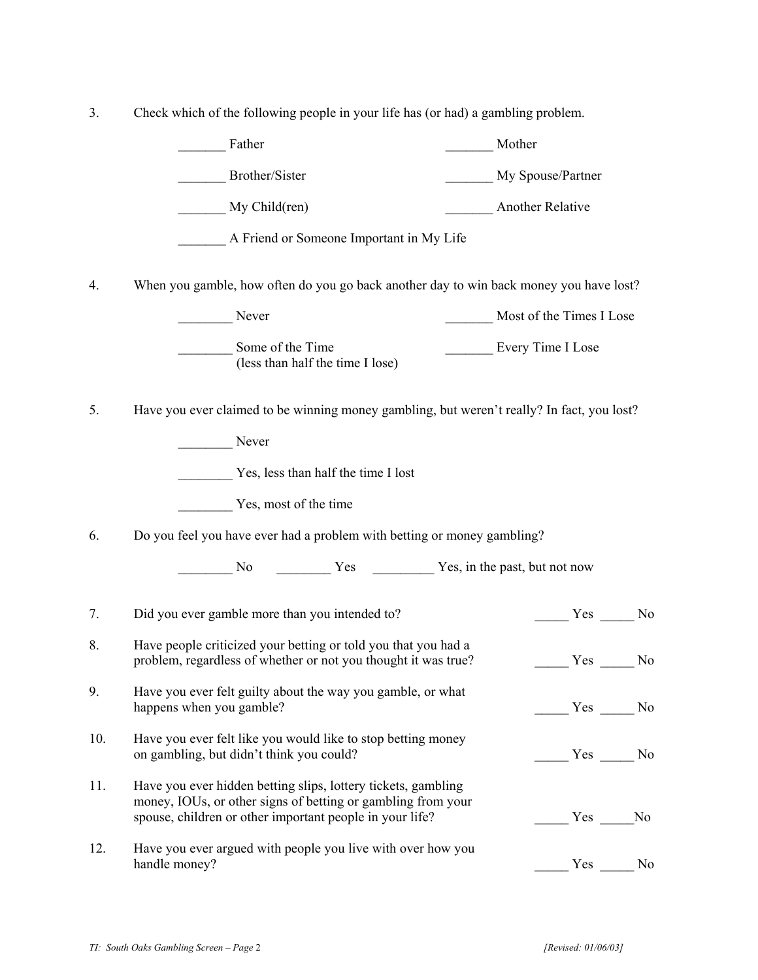3. Check which of the following people in your life has (or had) a gambling problem.

|     | Father                                                                                                                                                                                    | Mother                                                                                                                                                                                                                                                                                                                                                                                                                |
|-----|-------------------------------------------------------------------------------------------------------------------------------------------------------------------------------------------|-----------------------------------------------------------------------------------------------------------------------------------------------------------------------------------------------------------------------------------------------------------------------------------------------------------------------------------------------------------------------------------------------------------------------|
|     | Brother/Sister                                                                                                                                                                            | My Spouse/Partner                                                                                                                                                                                                                                                                                                                                                                                                     |
|     | My Child(ren)                                                                                                                                                                             | <b>Another Relative</b>                                                                                                                                                                                                                                                                                                                                                                                               |
|     | A Friend or Someone Important in My Life                                                                                                                                                  |                                                                                                                                                                                                                                                                                                                                                                                                                       |
| 4.  | When you gamble, how often do you go back another day to win back money you have lost?                                                                                                    |                                                                                                                                                                                                                                                                                                                                                                                                                       |
|     | Never                                                                                                                                                                                     | Most of the Times I Lose                                                                                                                                                                                                                                                                                                                                                                                              |
|     | Some of the Time<br>(less than half the time I lose)                                                                                                                                      | Every Time I Lose                                                                                                                                                                                                                                                                                                                                                                                                     |
| 5.  | Have you ever claimed to be winning money gambling, but weren't really? In fact, you lost?                                                                                                |                                                                                                                                                                                                                                                                                                                                                                                                                       |
|     | Never                                                                                                                                                                                     |                                                                                                                                                                                                                                                                                                                                                                                                                       |
|     | Yes, less than half the time I lost                                                                                                                                                       |                                                                                                                                                                                                                                                                                                                                                                                                                       |
|     | Yes, most of the time                                                                                                                                                                     |                                                                                                                                                                                                                                                                                                                                                                                                                       |
| 6.  | Do you feel you have ever had a problem with betting or money gambling?                                                                                                                   |                                                                                                                                                                                                                                                                                                                                                                                                                       |
|     | No Yes Yes Wes, in the past, but not now                                                                                                                                                  |                                                                                                                                                                                                                                                                                                                                                                                                                       |
| 7.  | Did you ever gamble more than you intended to?                                                                                                                                            | $Yes$ No                                                                                                                                                                                                                                                                                                                                                                                                              |
| 8.  | Have people criticized your betting or told you that you had a<br>problem, regardless of whether or not you thought it was true?                                                          | Yes<br>No                                                                                                                                                                                                                                                                                                                                                                                                             |
| 9.  | Have you ever felt guilty about the way you gamble, or what<br>happens when you gamble?                                                                                                   | $\frac{\ }{\ }$ Yes $\frac{\ }{\ }$ No                                                                                                                                                                                                                                                                                                                                                                                |
| 10. | Have you ever felt like you would like to stop betting money<br>on gambling, but didn't think you could?                                                                                  | $\frac{1}{\sqrt{1-\frac{1}{1-\frac{1}{1-\frac{1}{1-\frac{1}{1-\frac{1}{1-\frac{1}{1-\frac{1}{1-\frac{1}{1-\frac{1}{1-\frac{1}{1-\frac{1}{1-\frac{1}{1-\frac{1}{1-\frac{1}{1-\frac{1}{1-\frac{1}{1-\frac{1}{1-\frac{1}{1-\frac{1}{1-\frac{1}{1-\frac{1}{1-\frac{1}{1-\frac{1}{1-\frac{1}{1-\frac{1}{1-\frac{1}{1-\frac{1}{1-\frac{1}{1-\frac{1}{1-\frac{1}{1-\frac{1}{1-\frac{1}{1-\frac{1}{1-\frac{1}{1-\frac{1}{1-\$ |
| 11. | Have you ever hidden betting slips, lottery tickets, gambling<br>money, IOUs, or other signs of betting or gambling from your<br>spouse, children or other important people in your life? | $Yes$ No                                                                                                                                                                                                                                                                                                                                                                                                              |
| 12. | Have you ever argued with people you live with over how you<br>handle money?                                                                                                              | $Yes$ No                                                                                                                                                                                                                                                                                                                                                                                                              |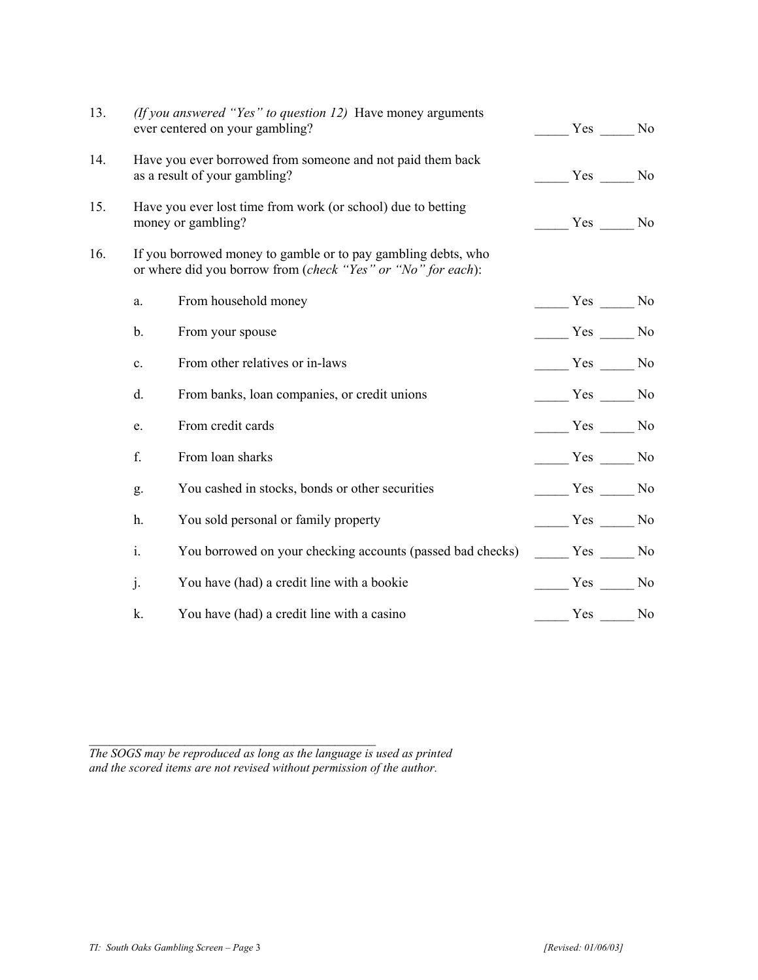| 13. |                                                                                    | (If you answered "Yes" to question $12$ ) Have money arguments<br>ever centered on your gambling?                             | Yes No                                 |  |
|-----|------------------------------------------------------------------------------------|-------------------------------------------------------------------------------------------------------------------------------|----------------------------------------|--|
| 14. |                                                                                    | Have you ever borrowed from someone and not paid them back<br>as a result of your gambling?                                   | $Yes$ No                               |  |
| 15. | Have you ever lost time from work (or school) due to betting<br>money or gambling? |                                                                                                                               | $\frac{\ }{\ }$ Yes $\frac{\ }{\ }$ No |  |
| 16. |                                                                                    | If you borrowed money to gamble or to pay gambling debts, who<br>or where did you borrow from (check "Yes" or "No" for each): |                                        |  |
|     | a.                                                                                 | From household money                                                                                                          | $\frac{Yes}{Y}$ No                     |  |
|     | b.                                                                                 | From your spouse                                                                                                              | $\frac{Yes}{Y}$ No                     |  |
|     | $\mathbf{c}$ .                                                                     | From other relatives or in-laws                                                                                               | $\frac{\ }{\ }$ Yes $\frac{\ }{\ }$ No |  |
|     | d.                                                                                 | From banks, loan companies, or credit unions                                                                                  | $\frac{\text{Yes}}{\text{Yes}}$ No     |  |
|     | e.                                                                                 | From credit cards                                                                                                             | $\frac{\text{Yes}}{\text{Yes}}$ No     |  |
|     | f.                                                                                 | From loan sharks                                                                                                              | $\frac{Yes}{Y}$ No                     |  |
|     | g.                                                                                 | You cashed in stocks, bonds or other securities                                                                               | $\frac{\ }{\ }$ Yes $\frac{\ }{\ }$ No |  |
|     | h.                                                                                 | You sold personal or family property                                                                                          | $Yes$ No                               |  |
|     | i.                                                                                 | You borrowed on your checking accounts (passed bad checks)                                                                    | $\frac{\ }{\ }$ Yes $\frac{\ }{\ }$ No |  |
|     | j.                                                                                 | You have (had) a credit line with a bookie                                                                                    | $\frac{\ }{\ }$ Yes $\frac{\ }{\ }$ No |  |
|     | k.                                                                                 | You have (had) a credit line with a casino                                                                                    | $Yes$ No                               |  |

*The SOGS may be reproduced as long as the language is used as printed and the scored items are not revised without permission of the author.* 

 $\mathcal{L}_\text{max}$